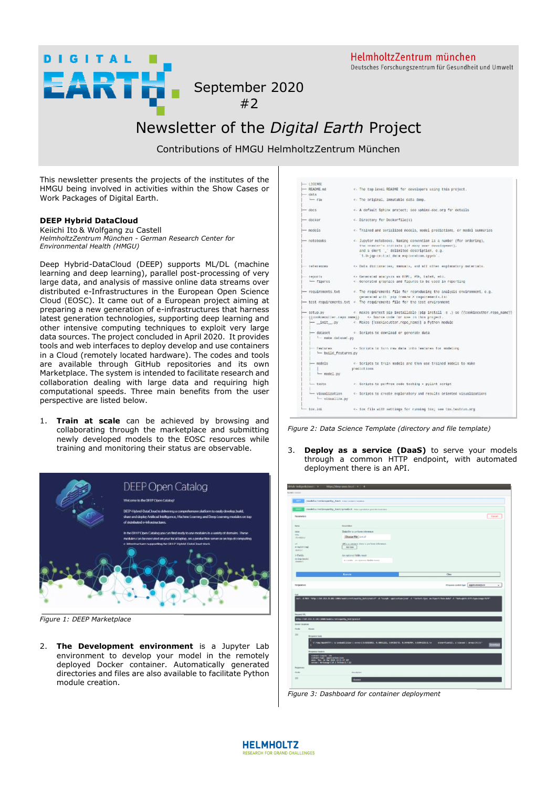HelmholtzZentrum münchen Deutsches Forschungszentrum für Gesundheit und Umwelt

September 2020 #2

## Newsletter of the *Digital Earth* Project

Contributions of HMGU HelmholtzZentrum München

This newsletter presents the projects of the institutes of the HMGU being involved in activities within the Show Cases or Work Packages of Digital Earth.

## **DEEP Hybrid DataCloud**

**DIGITAL** 

Keiichi Ito & Wolfgang zu Castell *HelmholtzZentrum München - German Research Center for Environmental Health (HMGU)* 

RTH

Deep Hybrid-DataCloud (DEEP) supports ML/DL (machine learning and deep learning), parallel post-processing of very large data, and analysis of massive online data streams over distributed e-Infrastructures in the European Open Science Cloud (EOSC). It came out of a European project aiming at preparing a new generation of e-infrastructures that harness latest generation technologies, supporting deep learning and other intensive computing techniques to exploit very large data sources. The project concluded in April 2020. It provides tools and web interfaces to deploy develop and use containers in a Cloud (remotely located hardware). The codes and tools are available through GitHub repositories and its own Marketplace. The system is intended to facilitate research and collaboration dealing with large data and requiring high computational speeds. Three main benefits from the user perspective are listed below.

1. **Train at scale** can be achieved by browsing and collaborating through the marketplace and submitting newly developed models to the EOSC resources while training and monitoring their status are observable.



*Figure 1: DEEP Marketplace*

2. **The Development environment** is a Jupyter Lab environment to develop your model in the remotely deployed Docker container. Automatically generated directories and files are also available to facilitate Python module creation.

| $-105845$                 |                                                                                             |  |
|---------------------------|---------------------------------------------------------------------------------------------|--|
| - READNE, Md.             | 4. The top-level READNE for osvelopers using this project.                                  |  |
| $-$ risks                 |                                                                                             |  |
| $-$ ray                   | w. The original, immutable data dump.                                                       |  |
| $- 0005$                  | << A default Sphinx project; see sphinx-doc.org for details                                 |  |
| $-$ decker                | - Directory for Dockerflie(s)                                                               |  |
| - models                  | " - Trained and sorialized rocols, model prodictions, or model summaries                    |  |
| - notobaoks               | < Jupyter metebooks, Naming convention is a number (for ordering),                          |  |
|                           | The creator's multials (if many user development),                                          |  |
|                           | and a short [ delivited description, c.g.                                                   |  |
|                           | "1.0-jqp-initial data supboration.ippeb"                                                    |  |
|                           | references - << Data difficultural englished and act explanatory notertain.                 |  |
| FINDERER                  | c. Generated analysis as \$195, 205, latel, will.                                           |  |
| how figures               | - Gonorated graphics and figures to be used in reporting                                    |  |
|                           | - requirements txt - - The requirements file for reproducing the analysis environment, c.g. |  |
|                           | generated with this freeze > requirements.tall                                              |  |
|                           | tost requirements tet < The requirements file for the test environment                      |  |
|                           |                                                                                             |  |
|                           | (Constructive.com mand) - << Norme cole 'or now in this project.                            |  |
|                           | - _init__oy < Mokes [[cookiecutter.repo_name]] a Python module                              |  |
| - dataset                 | e Scriats to comicad or ocnerate data                                                       |  |
| time ander that asset  py |                                                                                             |  |
| - Teateres:               | K- Scripts in furn raw data into features for modeling                                      |  |
| - build features.gy       |                                                                                             |  |
| $-$ madels                | 4. Scripts to train models and then use trained models to make                              |  |
|                           | predictions.                                                                                |  |
| - rodel pv                |                                                                                             |  |
| $-$ teste                 | <- Scripts to perfrom code testing + pylint script                                          |  |
| - visuall2a.py            | - visualization - - Scripts to create exploratory and repults oriented visualizations       |  |
| tax, xax                  | <- for file with settings for running tox; see tox.testrum.org                              |  |

*Figure 2: Data Science Template (directory and file template)*

3. **Deploy as a service (DaaS)** to serve your models through a common HTTP endpoint, with automated deployment there is an API.

| <b>GET</b>                                              | /models/retinspathy_test manuscare reason                                                                |                                                                                                                                                                            |                     |
|---------------------------------------------------------|----------------------------------------------------------------------------------------------------------|----------------------------------------------------------------------------------------------------------------------------------------------------------------------------|---------------------|
| <b>POST</b>                                             | /models/retinepathy_test/predict_max sponsor constricted on                                              |                                                                                                                                                                            |                     |
| <b>Parameters</b>                                       |                                                                                                          |                                                                                                                                                                            | Careel              |
| Serie                                                   | <b>Beariples</b>                                                                                         |                                                                                                                                                                            |                     |
| state                                                   | Data file to perform inference.                                                                          |                                                                                                                                                                            |                     |
| 124<br>chankers!                                        | Chusse Nie (14.11)                                                                                       |                                                                                                                                                                            |                     |
| ve.<br>array(id) (sg)<br>nown i                         | UHL to retrieve data to perform inference.<br>Anti-Itans                                                 |                                                                                                                                                                            |                     |
| X-Fields                                                | An restional fields music                                                                                |                                                                                                                                                                            |                     |
| stelling (search)<br>(Australia)                        | A Fields - An oppone fields most                                                                         |                                                                                                                                                                            |                     |
|                                                         | <b>Roscow</b>                                                                                            | Clear                                                                                                                                                                      |                     |
|                                                         |                                                                                                          |                                                                                                                                                                            |                     |
|                                                         |                                                                                                          |                                                                                                                                                                            |                     |
| megateses<br>Guid                                       |                                                                                                          | Programa violent type                                                                                                                                                      | approximation<br>w. |
|                                                         | http://tdf.231.15.181/1000/todets/retirepothy_text/poetaxt                                               | cars at MM ming (1947)83.W. 381) SM How Curry Cars (1959) State (1959) State (1959) Application State (1959) Section Assembly at the United States (1971) Section Assembly |                     |
|                                                         |                                                                                                          |                                                                                                                                                                            |                     |
| <b>Details</b>                                          |                                                                                                          |                                                                                                                                                                            |                     |
| <b>Response looks</b>                                   |                                                                                                          |                                                                                                                                                                            |                     |
| <b>Recovered LARC</b><br>Served response<br>Code<br>307 | "C706LINERRITE'S G/SPRINGSSERVS APPRECIATIONS RESIDED. A. RAYLESS, A. RAYLESS, A. RAYLESSEE, VA.         | etrar-flastic, s'element permetetter                                                                                                                                       |                     |
| <b>Kesponse Headers</b><br>contrart-Lengths 180         | otant-type: apptication:jook<br>Se: The. 58 Nor 2009 13:33 (f UPT<br>ryan: Werkswag-t.iA.i Permanit.f.iz |                                                                                                                                                                            |                     |
| Reserves<br>Code                                        | Des (Aprilein                                                                                            |                                                                                                                                                                            |                     |

*Figure 3: Dashboard for container deployment*

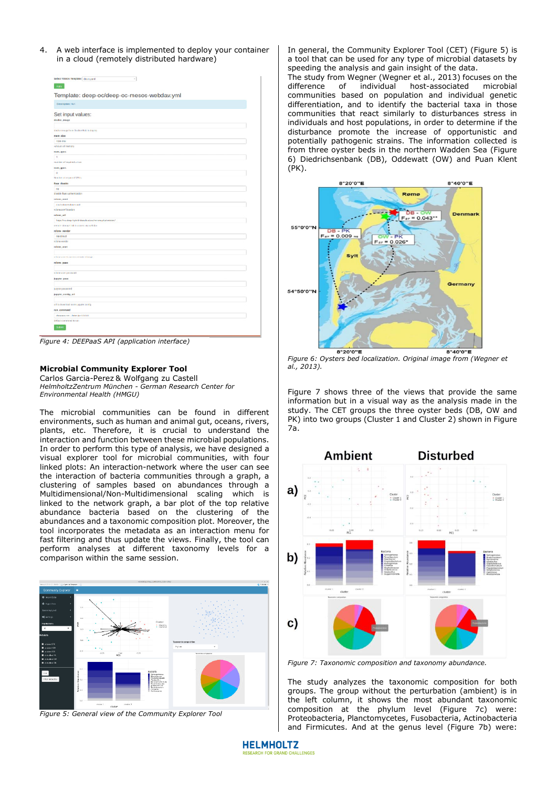4. A web interface is implemented to deploy your container in a cloud (remotely distributed hardware)

| Ante.                                                 |  |
|-------------------------------------------------------|--|
|                                                       |  |
| Template: deep-oc/deep-oc-mesos-webdav.yml            |  |
| <b>Omenation</b> : NO                                 |  |
|                                                       |  |
| Set input values:                                     |  |
| dealer, aways                                         |  |
| dados excepcions Destro Hot in depos                  |  |
| ran size                                              |  |
| <b>ASWE Braz</b>                                      |  |
| known of menary                                       |  |
| rent ripes                                            |  |
| $\mathbf{1}$                                          |  |
| reunder of recalled coron                             |  |
| restures.                                             |  |
| $\mathbf{v}$                                          |  |
| Nordon storyard (SNS)                                 |  |
| <b>Fass cleately</b><br>na                            |  |
| planted than authentication                           |  |
| relater justify                                       |  |
| <b>Zastrokombokarroad</b>                             |  |
| relate com'llocades                                   |  |
| referenced.                                           |  |
| https://nc.deep-hybrid-desscioust.ea/wmonaphatenscev/ |  |
| extern strengthed in control signal-false             |  |
| rdose vender                                          |  |
| rentist                                               |  |
| <b>Island render</b>                                  |  |
| relater_anet                                          |  |
| sched son to access change shared                     |  |
| rdow pass                                             |  |
|                                                       |  |
| schele som password.                                  |  |
| <b>hoyer</b> peer                                     |  |
|                                                       |  |
| <b><i>Internet password</i></b>                       |  |
| <b>PERMIT FOREST AR</b>                               |  |
| all to described to me japane scalia                  |  |
| <b>FULL COMMUNIC</b>                                  |  |
| degras-nn - bin-k=1.0.0.0                             |  |
| debut contracts to run.                               |  |

*Figure 4: DEEPaaS API (application interface)*

## **Microbial Community Explorer Tool**

Carlos Garcia-Perez & Wolfgang zu Castell *HelmholtzZentrum München - German Research Center for Environmental Health (HMGU)* 

The microbial communities can be found in different environments, such as human and animal gut, oceans, rivers, plants, etc. Therefore, it is crucial to understand the interaction and function between these microbial populations. In order to perform this type of analysis, we have designed a visual explorer tool for microbial communities, with four linked plots: An interaction-network where the user can see the interaction of bacteria communities through a graph, a clustering of samples based on abundances through a Multidimensional/Non-Multidimensional scaling which is linked to the network graph, a bar plot of the top relative abundance bacteria based on the clustering of the abundances and a taxonomic composition plot. Moreover, the tool incorporates the metadata as an interaction menu for fast filtering and thus update the views. Finally, the tool can perform analyses at different taxonomy levels for a comparison within the same session.



*Figure 5: General view of the Community Explorer Tool* 

In general, the Community Explorer Tool (CET) (Figure 5) is a tool that can be used for any type of microbial datasets by speeding the analysis and gain insight of the data.

The study from Wegner (Wegner et al., 2013) focuses on the difference of individual host-associated microbial difference of individual host-associated microbial communities based on population and individual genetic differentiation, and to identify the bacterial taxa in those communities that react similarly to disturbances stress in individuals and host populations, in order to determine if the disturbance promote the increase of opportunistic and potentially pathogenic strains. The information collected is from three oyster beds in the northern Wadden Sea (Figure 6) Diedrichsenbank (DB), Oddewatt (OW) and Puan Klent (PK).



*Figure 6: Oysters bed localization. Original image from (Wegner et al., 2013).* 

Figure 7 shows three of the views that provide the same information but in a visual way as the analysis made in the study. The CET groups the three oyster beds (DB, OW and PK) into two groups (Cluster 1 and Cluster 2) shown in Figure 7a.



*Figure 7: Taxonomic composition and taxonomy abundance.* 

The study analyzes the taxonomic composition for both groups. The group without the perturbation (ambient) is in the left column, it shows the most abundant taxonomic composition at the phylum level (Figure 7c) were: Proteobacteria, Planctomycetes, Fusobacteria, Actinobacteria and Firmicutes. And at the genus level (Figure 7b) were:

**HELMHOLTZ** OR GRAND CHALLENGES